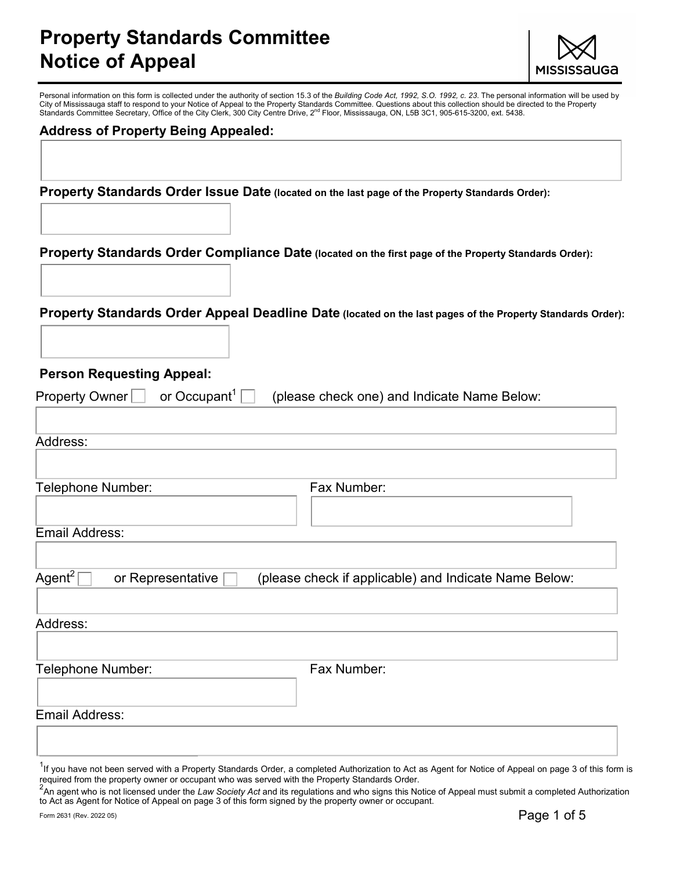# Property Standards Committee Notice of Appeal



Personal information on this form is collected under the authority of section 15.3 of the Building Code Act, 1992, S.O. 1992, c. 23. The personal information will be used by City of Mississauga staff to respond to your Notice of Appeal to the Property Standards Committee. Questions about this collection should be directed to the Property Standards Committee Secretary, Office of the City Clerk, 300 City Centre Drive, 2<sup>nd</sup> Floor, Mississauga, ON, L5B 3C1, 905-615-3200, ext. 5438.

### Address of Property Being Appealed:

Property Standards Order Issue Date (located on the last page of the Property Standards Order):

Property Standards Order Compliance Date (located on the first page of the Property Standards Order):

Property Standards Order Appeal Deadline Date (located on the last pages of the Property Standards Order):

#### Person Requesting Appeal:

| or Occupant <sup>1</sup> $[$<br>Property Owner | (please check one) and Indicate Name Below:           |
|------------------------------------------------|-------------------------------------------------------|
|                                                |                                                       |
| Address:                                       |                                                       |
| Telephone Number:                              | Fax Number:                                           |
|                                                |                                                       |
| Email Address:                                 |                                                       |
|                                                |                                                       |
| Agent <sup>2</sup><br>or Representative        | (please check if applicable) and Indicate Name Below: |
| Address:                                       |                                                       |
|                                                |                                                       |
| Telephone Number:                              | Fax Number:                                           |
| Email Address:                                 |                                                       |
|                                                |                                                       |
|                                                |                                                       |

<sup>1</sup>If you have not been served with a Property Standards Order, a completed Authorization to Act as Agent for Notice of Appeal on page 3 of this form is required from the property owner or occupant who was served with the Property Standards Order.

 $^2$ An agent who is not licensed under the Law Society Act and its regulations and who signs this Notice of Appeal must submit a completed Authorization to Act as Agent for Notice of Appeal on page 3 of this form signed by the property owner or occupant.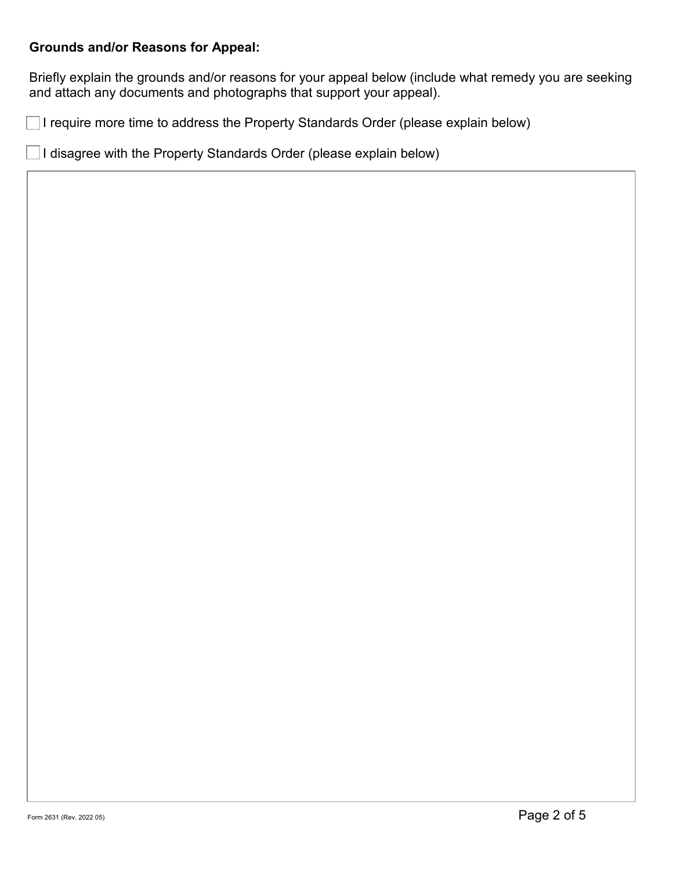## Grounds and/or Reasons for Appeal:

Briefly explain the grounds and/or reasons for your appeal below (include what remedy you are seeking and attach any documents and photographs that support your appeal).

I require more time to address the Property Standards Order (please explain below)

I disagree with the Property Standards Order (please explain below)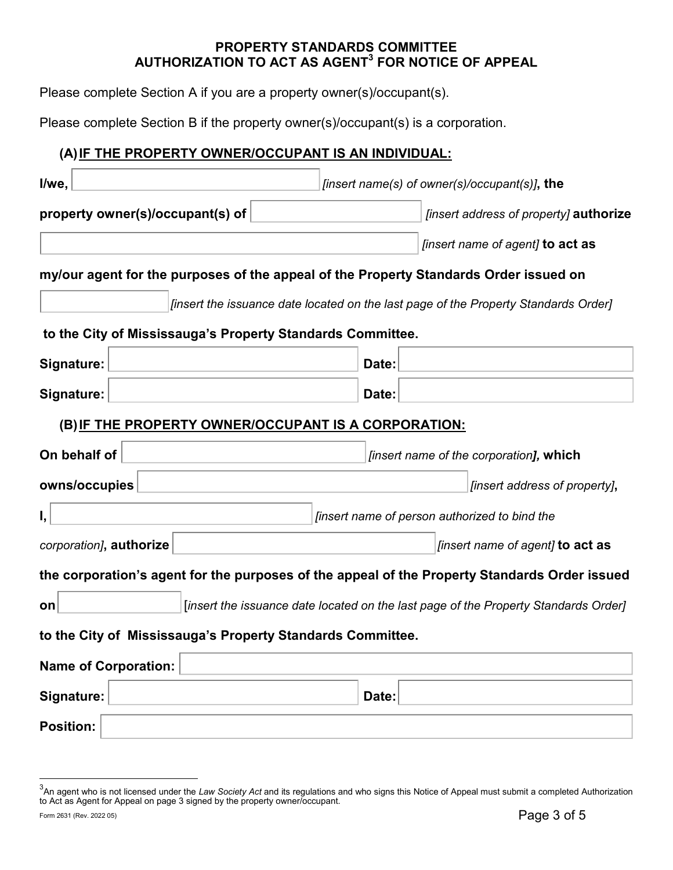### PROPERTY STANDARDS COMMITTEE AUTHORIZATION TO ACT AS AGENT $^3$  FOR NOTICE OF APPEAL

Please complete Section A if you are a property owner(s)/occupant(s).

Please complete Section B if the property owner(s)/occupant(s) is a corporation.

## (A) IF THE PROPERTY OWNER/OCCUPANT IS AN INDIVIDUAL:

| I/we,                                                                                     | [insert name(s) of owner(s)/occupant(s)], the                                                 |  |  |  |  |  |  |  |  |
|-------------------------------------------------------------------------------------------|-----------------------------------------------------------------------------------------------|--|--|--|--|--|--|--|--|
| property owner(s)/occupant(s) of                                                          | <i>[insert address of property]</i> <b>authorize</b>                                          |  |  |  |  |  |  |  |  |
|                                                                                           | [insert name of agent] to act as                                                              |  |  |  |  |  |  |  |  |
|                                                                                           | my/our agent for the purposes of the appeal of the Property Standards Order issued on         |  |  |  |  |  |  |  |  |
| [insert the issuance date located on the last page of the Property Standards Order]       |                                                                                               |  |  |  |  |  |  |  |  |
| to the City of Mississauga's Property Standards Committee.                                |                                                                                               |  |  |  |  |  |  |  |  |
| Signature:                                                                                | Date:                                                                                         |  |  |  |  |  |  |  |  |
| Signature:                                                                                | Date:                                                                                         |  |  |  |  |  |  |  |  |
| (B) IF THE PROPERTY OWNER/OCCUPANT IS A CORPORATION:                                      |                                                                                               |  |  |  |  |  |  |  |  |
| On behalf of                                                                              | finsert name of the corporation], which                                                       |  |  |  |  |  |  |  |  |
| owns/occupies                                                                             | [insert address of property],                                                                 |  |  |  |  |  |  |  |  |
| Ι,                                                                                        | [insert name of person authorized to bind the                                                 |  |  |  |  |  |  |  |  |
| corporation], authorize                                                                   | [insert name of agent] to act as                                                              |  |  |  |  |  |  |  |  |
|                                                                                           | the corporation's agent for the purposes of the appeal of the Property Standards Order issued |  |  |  |  |  |  |  |  |
| [insert the issuance date located on the last page of the Property Standards Order]<br>on |                                                                                               |  |  |  |  |  |  |  |  |
| to the City of Mississauga's Property Standards Committee.                                |                                                                                               |  |  |  |  |  |  |  |  |
| <b>Name of Corporation:</b>                                                               |                                                                                               |  |  |  |  |  |  |  |  |
| Signature:                                                                                | Date:                                                                                         |  |  |  |  |  |  |  |  |
| <b>Position:</b>                                                                          |                                                                                               |  |  |  |  |  |  |  |  |

 3 An agent who is not licensed under the Law Society Act and its regulations and who signs this Notice of Appeal must submit a completed Authorization to Act as Agent for Appeal on page 3 signed by the property owner/occupant.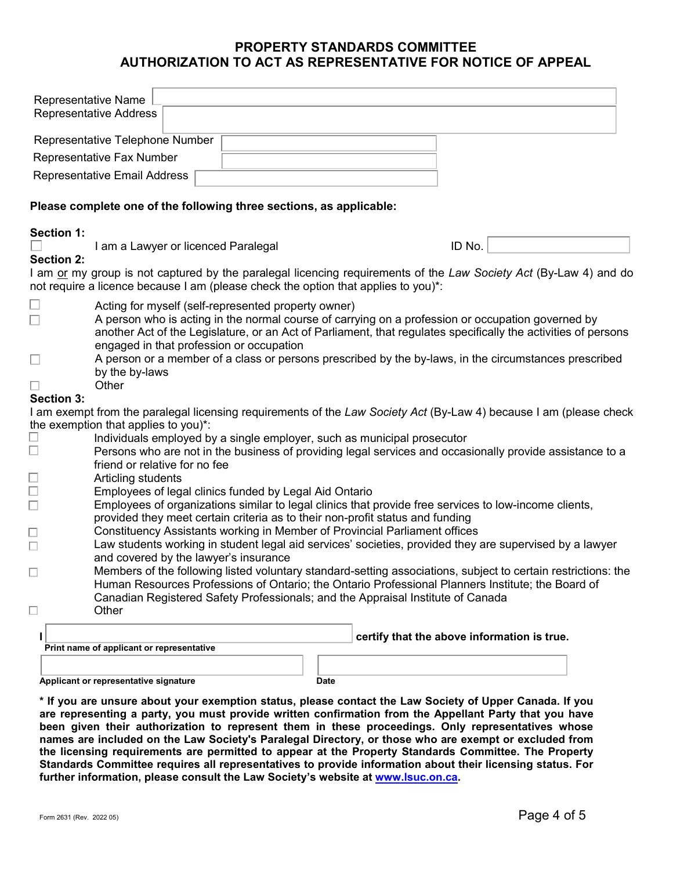#### PROPERTY STANDARDS COMMITTEE AUTHORIZATION TO ACT AS REPRESENTATIVE FOR NOTICE OF APPEAL

| Representative Name                                                 | <b>Representative Address</b>                                                                                                                                                                                      |  |  |  |      |                                                                                                         |        |  |                                                                                                                    |  |  |
|---------------------------------------------------------------------|--------------------------------------------------------------------------------------------------------------------------------------------------------------------------------------------------------------------|--|--|--|------|---------------------------------------------------------------------------------------------------------|--------|--|--------------------------------------------------------------------------------------------------------------------|--|--|
|                                                                     | Representative Telephone Number                                                                                                                                                                                    |  |  |  |      |                                                                                                         |        |  |                                                                                                                    |  |  |
|                                                                     | Representative Fax Number                                                                                                                                                                                          |  |  |  |      |                                                                                                         |        |  |                                                                                                                    |  |  |
|                                                                     | Representative Email Address                                                                                                                                                                                       |  |  |  |      |                                                                                                         |        |  |                                                                                                                    |  |  |
|                                                                     |                                                                                                                                                                                                                    |  |  |  |      |                                                                                                         |        |  |                                                                                                                    |  |  |
| Please complete one of the following three sections, as applicable: |                                                                                                                                                                                                                    |  |  |  |      |                                                                                                         |        |  |                                                                                                                    |  |  |
| <b>Section 1:</b>                                                   |                                                                                                                                                                                                                    |  |  |  |      |                                                                                                         |        |  |                                                                                                                    |  |  |
|                                                                     | I am a Lawyer or licenced Paralegal                                                                                                                                                                                |  |  |  |      |                                                                                                         | ID No. |  |                                                                                                                    |  |  |
| <b>Section 2:</b>                                                   |                                                                                                                                                                                                                    |  |  |  |      |                                                                                                         |        |  |                                                                                                                    |  |  |
|                                                                     |                                                                                                                                                                                                                    |  |  |  |      | not require a licence because I am (please check the option that applies to you)*:                      |        |  | I am or my group is not captured by the paralegal licencing requirements of the Law Society Act (By-Law 4) and do  |  |  |
| $\Box$                                                              | Acting for myself (self-represented property owner)                                                                                                                                                                |  |  |  |      | A person who is acting in the normal course of carrying on a profession or occupation governed by       |        |  | another Act of the Legislature, or an Act of Parliament, that regulates specifically the activities of persons     |  |  |
| $\Box$                                                              | engaged in that profession or occupation<br>A person or a member of a class or persons prescribed by the by-laws, in the circumstances prescribed<br>by the by-laws                                                |  |  |  |      |                                                                                                         |        |  |                                                                                                                    |  |  |
| $\Box$                                                              | Other                                                                                                                                                                                                              |  |  |  |      |                                                                                                         |        |  |                                                                                                                    |  |  |
| <b>Section 3:</b>                                                   |                                                                                                                                                                                                                    |  |  |  |      |                                                                                                         |        |  |                                                                                                                    |  |  |
|                                                                     |                                                                                                                                                                                                                    |  |  |  |      |                                                                                                         |        |  | I am exempt from the paralegal licensing requirements of the Law Society Act (By-Law 4) because I am (please check |  |  |
|                                                                     | the exemption that applies to you)*:                                                                                                                                                                               |  |  |  |      |                                                                                                         |        |  |                                                                                                                    |  |  |
|                                                                     | Individuals employed by a single employer, such as municipal prosecutor<br>Persons who are not in the business of providing legal services and occasionally provide assistance to a                                |  |  |  |      |                                                                                                         |        |  |                                                                                                                    |  |  |
|                                                                     | friend or relative for no fee                                                                                                                                                                                      |  |  |  |      |                                                                                                         |        |  |                                                                                                                    |  |  |
|                                                                     | Articling students                                                                                                                                                                                                 |  |  |  |      |                                                                                                         |        |  |                                                                                                                    |  |  |
|                                                                     | Employees of legal clinics funded by Legal Aid Ontario                                                                                                                                                             |  |  |  |      |                                                                                                         |        |  |                                                                                                                    |  |  |
|                                                                     |                                                                                                                                                                                                                    |  |  |  |      | Employees of organizations similar to legal clinics that provide free services to low-income clients,   |        |  |                                                                                                                    |  |  |
|                                                                     |                                                                                                                                                                                                                    |  |  |  |      | provided they meet certain criteria as to their non-profit status and funding                           |        |  |                                                                                                                    |  |  |
| $\Box$                                                              |                                                                                                                                                                                                                    |  |  |  |      | Constituency Assistants working in Member of Provincial Parliament offices                              |        |  |                                                                                                                    |  |  |
|                                                                     | and covered by the lawyer's insurance                                                                                                                                                                              |  |  |  |      | Law students working in student legal aid services' societies, provided they are supervised by a lawyer |        |  |                                                                                                                    |  |  |
| $\Box$                                                              |                                                                                                                                                                                                                    |  |  |  |      |                                                                                                         |        |  |                                                                                                                    |  |  |
|                                                                     | Members of the following listed voluntary standard-setting associations, subject to certain restrictions: the<br>Human Resources Professions of Ontario; the Ontario Professional Planners Institute; the Board of |  |  |  |      |                                                                                                         |        |  |                                                                                                                    |  |  |
|                                                                     |                                                                                                                                                                                                                    |  |  |  |      | Canadian Registered Safety Professionals; and the Appraisal Institute of Canada                         |        |  |                                                                                                                    |  |  |
|                                                                     | Other                                                                                                                                                                                                              |  |  |  |      |                                                                                                         |        |  |                                                                                                                    |  |  |
|                                                                     |                                                                                                                                                                                                                    |  |  |  |      | certify that the above information is true.                                                             |        |  |                                                                                                                    |  |  |
|                                                                     | Print name of applicant or representative                                                                                                                                                                          |  |  |  |      |                                                                                                         |        |  |                                                                                                                    |  |  |
|                                                                     |                                                                                                                                                                                                                    |  |  |  |      |                                                                                                         |        |  |                                                                                                                    |  |  |
|                                                                     | Applicant or representative signature                                                                                                                                                                              |  |  |  | Date |                                                                                                         |        |  |                                                                                                                    |  |  |

\* If you are unsure about your exemption status, please contact the Law Society of Upper Canada. If you are representing a party, you must provide written confirmation from the Appellant Party that you have been given their authorization to represent them in these proceedings. Only representatives whose names are included on the Law Society's Paralegal Directory, or those who are exempt or excluded from the licensing requirements are permitted to appear at the Property Standards Committee. The Property Standards Committee requires all representatives to provide information about their licensing status. For further information, please consult the Law Society's website at www.lsuc.on.ca.